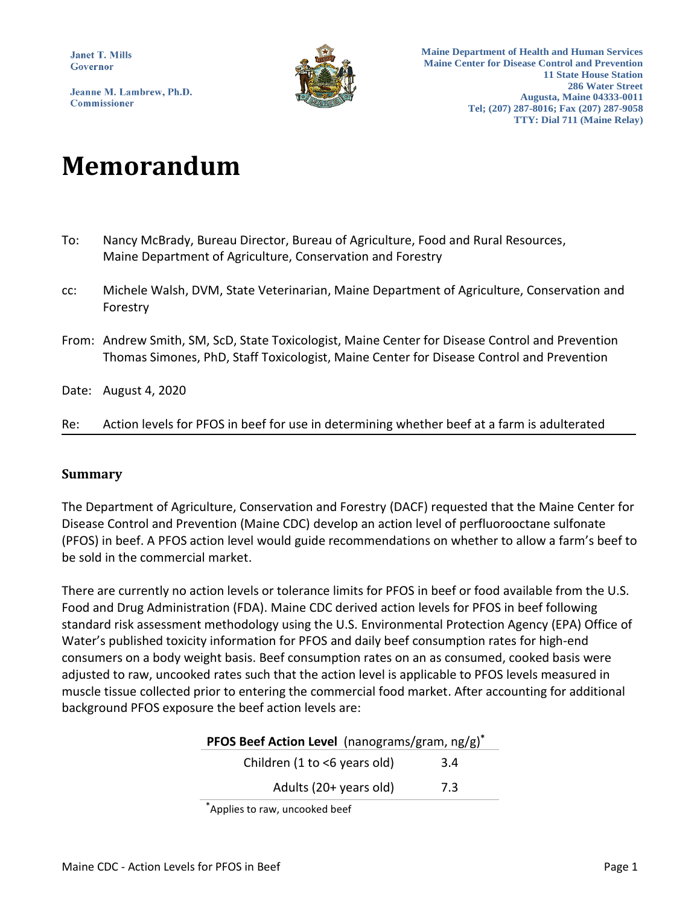**Janet T. Mills** Governor

Jeanne M. Lambrew, Ph.D. **Commissioner** 



**Maine Department of Health and Human Services Maine Center for Disease Control and Prevention 11 State House Station 286 Water Street Augusta, Maine 04333-0011 Tel; (207) 287-8016; Fax (207) 287-9058 TTY: Dial 711 (Maine Relay)**

# **Memorandum**

- To: Nancy McBrady, Bureau Director, Bureau of Agriculture, Food and Rural Resources, Maine Department of Agriculture, Conservation and Forestry
- cc: Michele Walsh, DVM, State Veterinarian, Maine Department of Agriculture, Conservation and Forestry
- From: Andrew Smith, SM, ScD, State Toxicologist, Maine Center for Disease Control and Prevention Thomas Simones, PhD, Staff Toxicologist, Maine Center for Disease Control and Prevention
- Date: August 4, 2020
- Re: Action levels for PFOS in beef for use in determining whether beef at a farm is adulterated

#### **Summary**

The Department of Agriculture, Conservation and Forestry (DACF) requested that the Maine Center for Disease Control and Prevention (Maine CDC) develop an action level of perfluorooctane sulfonate (PFOS) in beef. A PFOS action level would guide recommendations on whether to allow a farm's beef to be sold in the commercial market.

There are currently no action levels or tolerance limits for PFOS in beef or food available from the U.S. Food and Drug Administration (FDA). Maine CDC derived action levels for PFOS in beef following standard risk assessment methodology using the U.S. Environmental Protection Agency (EPA) Office of Water's published toxicity information for PFOS and daily beef consumption rates for high-end consumers on a body weight basis. Beef consumption rates on an as consumed, cooked basis were adjusted to raw, uncooked rates such that the action level is applicable to PFOS levels measured in muscle tissue collected prior to entering the commercial food market. After accounting for additional background PFOS exposure the beef action levels are:

| <b>PFOS Beef Action Level</b> (nanograms/gram, $ng/g$ ) <sup>*</sup> |     |  |  |  |  |  |  |  |
|----------------------------------------------------------------------|-----|--|--|--|--|--|--|--|
| Children $(1 to < 6$ years old)                                      | 3.4 |  |  |  |  |  |  |  |
| Adults (20+ years old)                                               | 7.3 |  |  |  |  |  |  |  |

\*Applies to raw, uncooked beef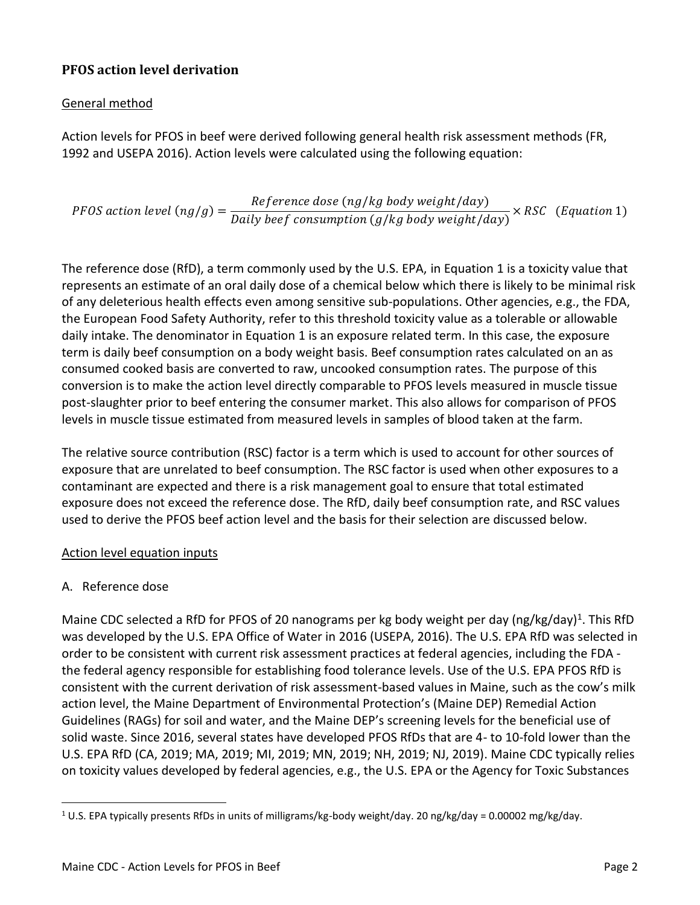# **PFOS action level derivation**

# General method

Action levels for PFOS in beef were derived following general health risk assessment methods (FR, 1992 and USEPA 2016). Action levels were calculated using the following equation:

PFOS action level  $(ng/g)$  = Reference dose (ng/kg body weight/day) Daily beef consumption  $(g/kg$  body weight/day)  $\times RSC$  (Equation 1)

The reference dose (RfD), a term commonly used by the U.S. EPA, in Equation 1 is a toxicity value that represents an estimate of an oral daily dose of a chemical below which there is likely to be minimal risk of any deleterious health effects even among sensitive sub-populations. Other agencies, e.g., the FDA, the European Food Safety Authority, refer to this threshold toxicity value as a tolerable or allowable daily intake. The denominator in Equation 1 is an exposure related term. In this case, the exposure term is daily beef consumption on a body weight basis. Beef consumption rates calculated on an as consumed cooked basis are converted to raw, uncooked consumption rates. The purpose of this conversion is to make the action level directly comparable to PFOS levels measured in muscle tissue post-slaughter prior to beef entering the consumer market. This also allows for comparison of PFOS levels in muscle tissue estimated from measured levels in samples of blood taken at the farm.

The relative source contribution (RSC) factor is a term which is used to account for other sources of exposure that are unrelated to beef consumption. The RSC factor is used when other exposures to a contaminant are expected and there is a risk management goal to ensure that total estimated exposure does not exceed the reference dose. The RfD, daily beef consumption rate, and RSC values used to derive the PFOS beef action level and the basis for their selection are discussed below.

## Action level equation inputs

## A. Reference dose

 $\overline{\phantom{a}}$ 

Maine CDC selected a RfD for PFOS of 20 nanograms per kg body weight per day (ng/kg/day)<sup>1</sup>. This RfD was developed by the U.S. EPA Office of Water in 2016 (USEPA, 2016). The U.S. EPA RfD was selected in order to be consistent with current risk assessment practices at federal agencies, including the FDA the federal agency responsible for establishing food tolerance levels. Use of the U.S. EPA PFOS RfD is consistent with the current derivation of risk assessment-based values in Maine, such as the cow's milk action level, the Maine Department of Environmental Protection's (Maine DEP) Remedial Action Guidelines (RAGs) for soil and water, and the Maine DEP's screening levels for the beneficial use of solid waste. Since 2016, several states have developed PFOS RfDs that are 4- to 10-fold lower than the U.S. EPA RfD (CA, 2019; MA, 2019; MI, 2019; MN, 2019; NH, 2019; NJ, 2019). Maine CDC typically relies on toxicity values developed by federal agencies, e.g., the U.S. EPA or the Agency for Toxic Substances

<sup>&</sup>lt;sup>1</sup> U.S. EPA typically presents RfDs in units of milligrams/kg-body weight/day. 20 ng/kg/day = 0.00002 mg/kg/day.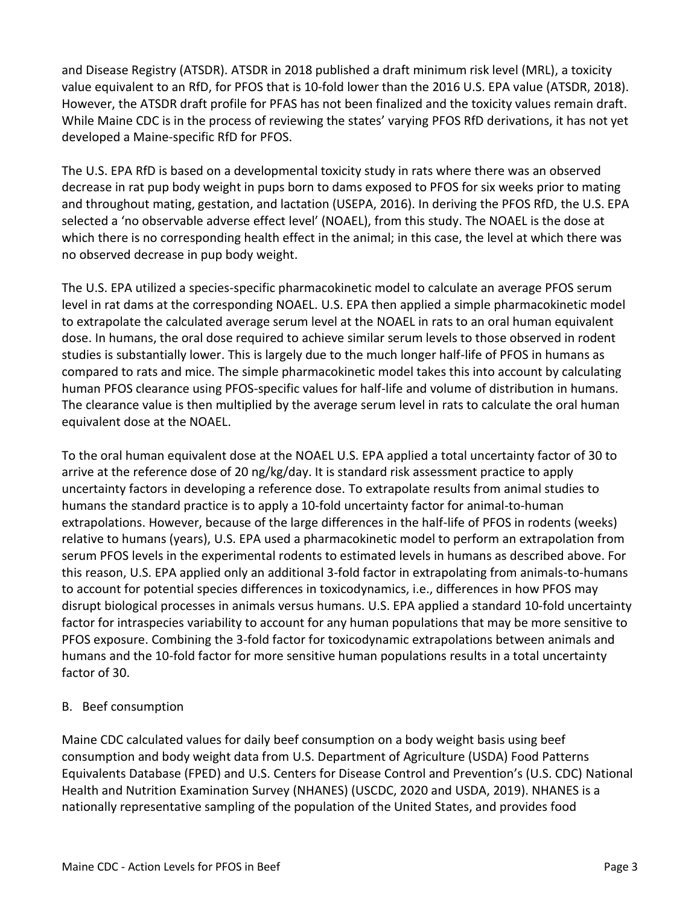and Disease Registry (ATSDR). ATSDR in 2018 published a draft minimum risk level (MRL), a toxicity value equivalent to an RfD, for PFOS that is 10-fold lower than the 2016 U.S. EPA value (ATSDR, 2018). However, the ATSDR draft profile for PFAS has not been finalized and the toxicity values remain draft. While Maine CDC is in the process of reviewing the states' varying PFOS RfD derivations, it has not yet developed a Maine-specific RfD for PFOS.

The U.S. EPA RfD is based on a developmental toxicity study in rats where there was an observed decrease in rat pup body weight in pups born to dams exposed to PFOS for six weeks prior to mating and throughout mating, gestation, and lactation (USEPA, 2016). In deriving the PFOS RfD, the U.S. EPA selected a 'no observable adverse effect level' (NOAEL), from this study. The NOAEL is the dose at which there is no corresponding health effect in the animal; in this case, the level at which there was no observed decrease in pup body weight.

The U.S. EPA utilized a species-specific pharmacokinetic model to calculate an average PFOS serum level in rat dams at the corresponding NOAEL. U.S. EPA then applied a simple pharmacokinetic model to extrapolate the calculated average serum level at the NOAEL in rats to an oral human equivalent dose. In humans, the oral dose required to achieve similar serum levels to those observed in rodent studies is substantially lower. This is largely due to the much longer half-life of PFOS in humans as compared to rats and mice. The simple pharmacokinetic model takes this into account by calculating human PFOS clearance using PFOS-specific values for half-life and volume of distribution in humans. The clearance value is then multiplied by the average serum level in rats to calculate the oral human equivalent dose at the NOAEL.

To the oral human equivalent dose at the NOAEL U.S. EPA applied a total uncertainty factor of 30 to arrive at the reference dose of 20 ng/kg/day. It is standard risk assessment practice to apply uncertainty factors in developing a reference dose. To extrapolate results from animal studies to humans the standard practice is to apply a 10-fold uncertainty factor for animal-to-human extrapolations. However, because of the large differences in the half-life of PFOS in rodents (weeks) relative to humans (years), U.S. EPA used a pharmacokinetic model to perform an extrapolation from serum PFOS levels in the experimental rodents to estimated levels in humans as described above. For this reason, U.S. EPA applied only an additional 3-fold factor in extrapolating from animals-to-humans to account for potential species differences in toxicodynamics, i.e., differences in how PFOS may disrupt biological processes in animals versus humans. U.S. EPA applied a standard 10-fold uncertainty factor for intraspecies variability to account for any human populations that may be more sensitive to PFOS exposure. Combining the 3-fold factor for toxicodynamic extrapolations between animals and humans and the 10-fold factor for more sensitive human populations results in a total uncertainty factor of 30.

## B. Beef consumption

Maine CDC calculated values for daily beef consumption on a body weight basis using beef consumption and body weight data from U.S. Department of Agriculture (USDA) Food Patterns Equivalents Database (FPED) and U.S. Centers for Disease Control and Prevention's (U.S. CDC) National Health and Nutrition Examination Survey (NHANES) (USCDC, 2020 and USDA, 2019). NHANES is a nationally representative sampling of the population of the United States, and provides food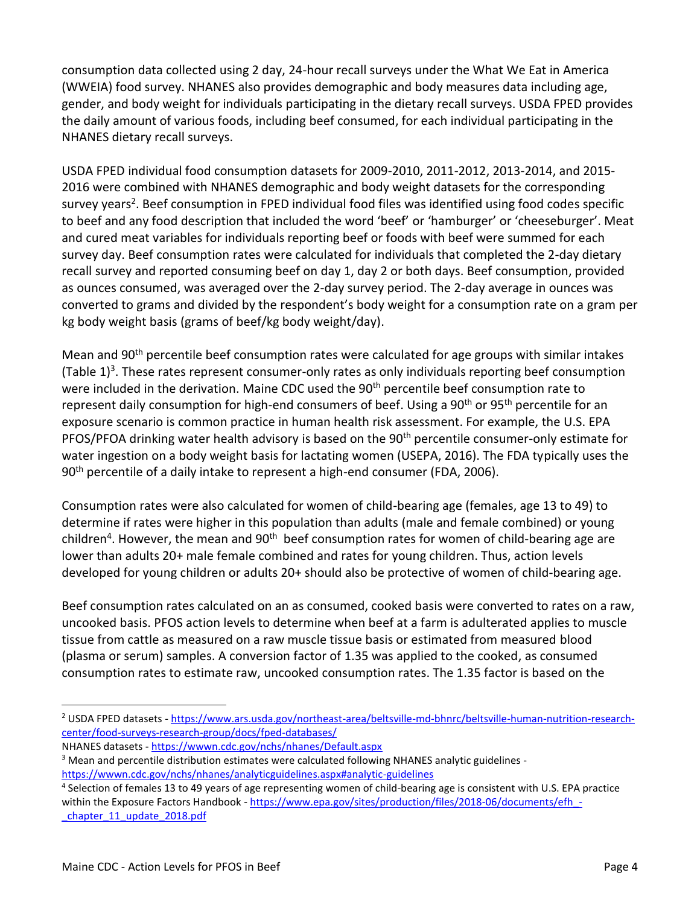consumption data collected using 2 day, 24-hour recall surveys under the What We Eat in America (WWEIA) food survey. NHANES also provides demographic and body measures data including age, gender, and body weight for individuals participating in the dietary recall surveys. USDA FPED provides the daily amount of various foods, including beef consumed, for each individual participating in the NHANES dietary recall surveys.

USDA FPED individual food consumption datasets for 2009-2010, 2011-2012, 2013-2014, and 2015- 2016 were combined with NHANES demographic and body weight datasets for the corresponding survey years<sup>2</sup>. Beef consumption in FPED individual food files was identified using food codes specific to beef and any food description that included the word 'beef' or 'hamburger' or 'cheeseburger'. Meat and cured meat variables for individuals reporting beef or foods with beef were summed for each survey day. Beef consumption rates were calculated for individuals that completed the 2-day dietary recall survey and reported consuming beef on day 1, day 2 or both days. Beef consumption, provided as ounces consumed, was averaged over the 2-day survey period. The 2-day average in ounces was converted to grams and divided by the respondent's body weight for a consumption rate on a gram per kg body weight basis (grams of beef/kg body weight/day).

Mean and 90<sup>th</sup> percentile beef consumption rates were calculated for age groups with similar intakes (Table  $1$ )<sup>3</sup>. These rates represent consumer-only rates as only individuals reporting beef consumption were included in the derivation. Maine CDC used the 90<sup>th</sup> percentile beef consumption rate to represent daily consumption for high-end consumers of beef. Using a  $90<sup>th</sup>$  or  $95<sup>th</sup>$  percentile for an exposure scenario is common practice in human health risk assessment. For example, the U.S. EPA PFOS/PFOA drinking water health advisory is based on the 90<sup>th</sup> percentile consumer-only estimate for water ingestion on a body weight basis for lactating women (USEPA, 2016). The FDA typically uses the 90<sup>th</sup> percentile of a daily intake to represent a high-end consumer (FDA, 2006).

Consumption rates were also calculated for women of child-bearing age (females, age 13 to 49) to determine if rates were higher in this population than adults (male and female combined) or young children<sup>4</sup>. However, the mean and 90<sup>th</sup> beef consumption rates for women of child-bearing age are lower than adults 20+ male female combined and rates for young children. Thus, action levels developed for young children or adults 20+ should also be protective of women of child-bearing age.

Beef consumption rates calculated on an as consumed, cooked basis were converted to rates on a raw, uncooked basis. PFOS action levels to determine when beef at a farm is adulterated applies to muscle tissue from cattle as measured on a raw muscle tissue basis or estimated from measured blood (plasma or serum) samples. A conversion factor of 1.35 was applied to the cooked, as consumed consumption rates to estimate raw, uncooked consumption rates. The 1.35 factor is based on the

 $\overline{a}$ 

<sup>2</sup> USDA FPED datasets - [https://www.ars.usda.gov/northeast-area/beltsville-md-bhnrc/beltsville-human-nutrition-research](https://www.ars.usda.gov/northeast-area/beltsville-md-bhnrc/beltsville-human-nutrition-research-center/food-surveys-research-group/docs/fped-databases/)[center/food-surveys-research-group/docs/fped-databases/](https://www.ars.usda.gov/northeast-area/beltsville-md-bhnrc/beltsville-human-nutrition-research-center/food-surveys-research-group/docs/fped-databases/)

NHANES datasets - <https://wwwn.cdc.gov/nchs/nhanes/Default.aspx>

<sup>&</sup>lt;sup>3</sup> Mean and percentile distribution estimates were calculated following NHANES analytic guidelines <https://wwwn.cdc.gov/nchs/nhanes/analyticguidelines.aspx#analytic-guidelines>

<sup>4</sup> Selection of females 13 to 49 years of age representing women of child-bearing age is consistent with U.S. EPA practice within the Exposure Factors Handbook - https://www.epa.gov/sites/production/files/2018-06/documents/efh chapter 11 update 2018.pdf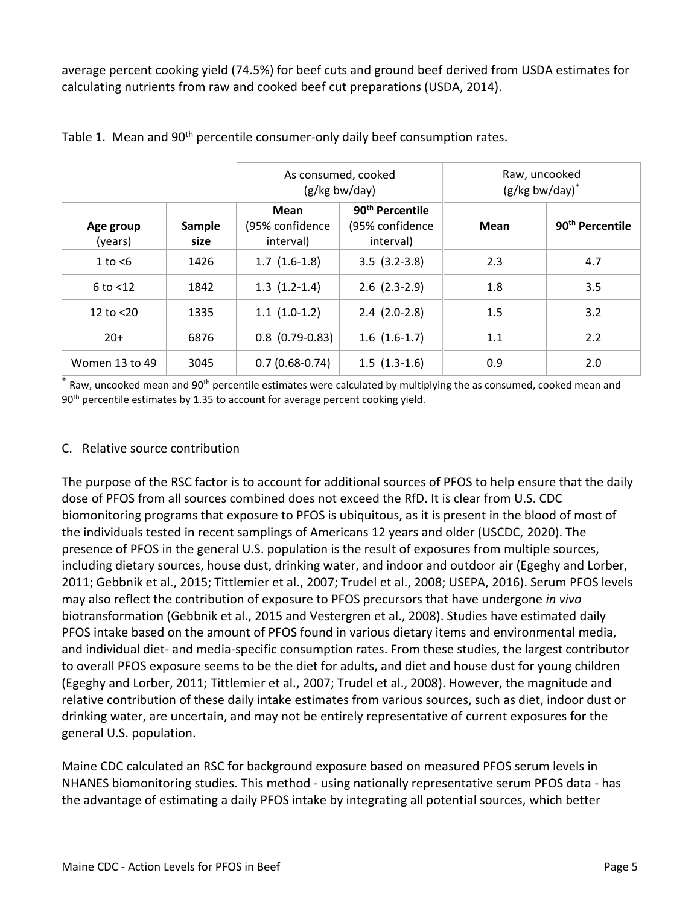average percent cooking yield (74.5%) for beef cuts and ground beef derived from USDA estimates for calculating nutrients from raw and cooked beef cut preparations (USDA, 2014).

|                      |                | As consumed, cooked<br>(g/kg bw/day) |                                                             | Raw, uncooked<br>$(g/kg$ bw/day) $*$ |                             |
|----------------------|----------------|--------------------------------------|-------------------------------------------------------------|--------------------------------------|-----------------------------|
| Age group<br>(years) | Sample<br>size | Mean<br>(95% confidence<br>interval) | 90 <sup>th</sup> Percentile<br>(95% confidence<br>interval) | Mean                                 | 90 <sup>th</sup> Percentile |
| 1 to $<$ 6           | 1426           | $1.7(1.6-1.8)$                       | $3.5$ $(3.2-3.8)$                                           | 2.3                                  | 4.7                         |
| $6$ to $<$ 12        | 1842           | $1.3(1.2-1.4)$                       | $2.6$ $(2.3-2.9)$                                           | 1.8                                  | 3.5                         |
| 12 to $<$ 20         | 1335           | $1.1(1.0-1.2)$                       | $2.4$ $(2.0-2.8)$                                           | 1.5                                  | 3.2                         |
| $20+$                | 6876           | $0.8$ (0.79-0.83)                    | $1.6(1.6-1.7)$                                              | 1.1                                  | 2.2                         |
| Women 13 to 49       | 3045           | $0.7(0.68-0.74)$                     | $1.5(1.3-1.6)$                                              | 0.9                                  | 2.0                         |

Table 1. Mean and 90<sup>th</sup> percentile consumer-only daily beef consumption rates.

Raw, uncooked mean and 90<sup>th</sup> percentile estimates were calculated by multiplying the as consumed, cooked mean and 90<sup>th</sup> percentile estimates by 1.35 to account for average percent cooking yield.

#### C. Relative source contribution

The purpose of the RSC factor is to account for additional sources of PFOS to help ensure that the daily dose of PFOS from all sources combined does not exceed the RfD. It is clear from U.S. CDC biomonitoring programs that exposure to PFOS is ubiquitous, as it is present in the blood of most of the individuals tested in recent samplings of Americans 12 years and older (USCDC, 2020). The presence of PFOS in the general U.S. population is the result of exposures from multiple sources, including dietary sources, house dust, drinking water, and indoor and outdoor air (Egeghy and Lorber, 2011; Gebbnik et al., 2015; Tittlemier et al., 2007; Trudel et al., 2008; USEPA, 2016). Serum PFOS levels may also reflect the contribution of exposure to PFOS precursors that have undergone *in vivo* biotransformation (Gebbnik et al., 2015 and Vestergren et al., 2008). Studies have estimated daily PFOS intake based on the amount of PFOS found in various dietary items and environmental media, and individual diet- and media-specific consumption rates. From these studies, the largest contributor to overall PFOS exposure seems to be the diet for adults, and diet and house dust for young children (Egeghy and Lorber, 2011; Tittlemier et al., 2007; Trudel et al., 2008). However, the magnitude and relative contribution of these daily intake estimates from various sources, such as diet, indoor dust or drinking water, are uncertain, and may not be entirely representative of current exposures for the general U.S. population.

Maine CDC calculated an RSC for background exposure based on measured PFOS serum levels in NHANES biomonitoring studies. This method - using nationally representative serum PFOS data - has the advantage of estimating a daily PFOS intake by integrating all potential sources, which better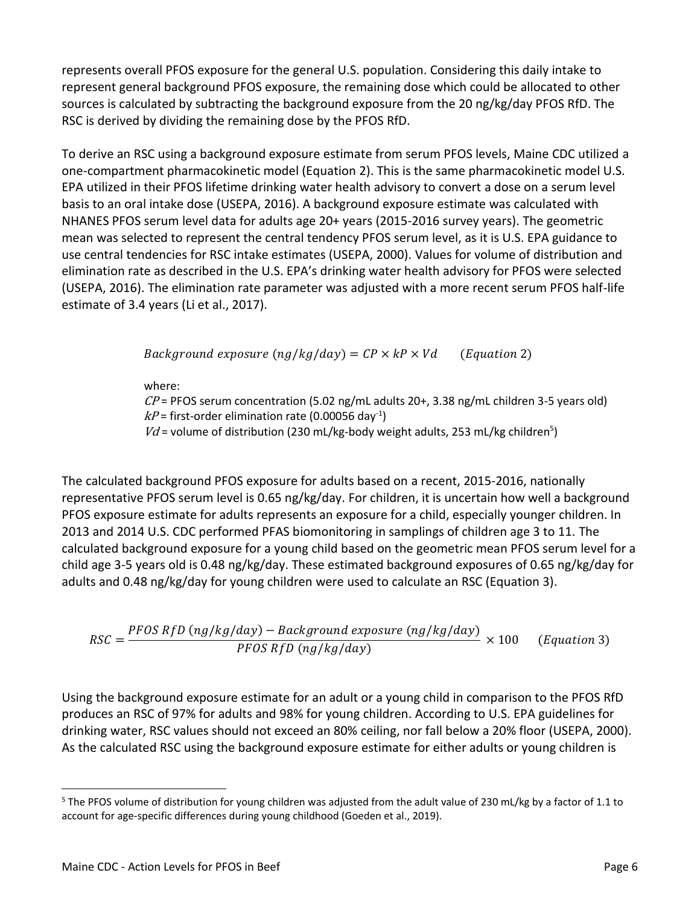represents overall PFOS exposure for the general U.S. population. Considering this daily intake to represent general background PFOS exposure, the remaining dose which could be allocated to other sources is calculated by subtracting the background exposure from the 20 ng/kg/day PFOS RfD. The RSC is derived by dividing the remaining dose by the PFOS RfD.

To derive an RSC using a background exposure estimate from serum PFOS levels, Maine CDC utilized a one-compartment pharmacokinetic model (Equation 2). This is the same pharmacokinetic model U.S. EPA utilized in their PFOS lifetime drinking water health advisory to convert a dose on a serum level basis to an oral intake dose (USEPA, 2016). A background exposure estimate was calculated with NHANES PFOS serum level data for adults age 20+ years (2015-2016 survey years). The geometric mean was selected to represent the central tendency PFOS serum level, as it is U.S. EPA guidance to use central tendencies for RSC intake estimates (USEPA, 2000). Values for volume of distribution and elimination rate as described in the U.S. EPA's drinking water health advisory for PFOS were selected (USEPA, 2016). The elimination rate parameter was adjusted with a more recent serum PFOS half-life estimate of 3.4 years (Li et al., 2017).

Background exposure  $(ng/kg/day) = CP \times kP \times Vd$  (Equation 2)

where:

 $\mathcal{CP}$  = PFOS serum concentration (5.02 ng/mL adults 20+, 3.38 ng/mL children 3-5 years old)  $kP$ = first-order elimination rate (0.00056 day<sup>-1</sup>)

 $Vd$  = volume of distribution (230 mL/kg-body weight adults, 253 mL/kg children<sup>5</sup>)

The calculated background PFOS exposure for adults based on a recent, 2015-2016, nationally representative PFOS serum level is 0.65 ng/kg/day. For children, it is uncertain how well a background PFOS exposure estimate for adults represents an exposure for a child, especially younger children. In 2013 and 2014 U.S. CDC performed PFAS biomonitoring in samplings of children age 3 to 11. The calculated background exposure for a young child based on the geometric mean PFOS serum level for a child age 3-5 years old is 0.48 ng/kg/day. These estimated background exposures of 0.65 ng/kg/day for adults and 0.48 ng/kg/day for young children were used to calculate an RSC (Equation 3).

 $RSC =$ PFOS RfD (ng/kg/day) – Background exposure (ng/kg/day) PFOS RfD (ng/kg/day)  $(Equation 3)$ 

Using the background exposure estimate for an adult or a young child in comparison to the PFOS RfD produces an RSC of 97% for adults and 98% for young children. According to U.S. EPA guidelines for drinking water, RSC values should not exceed an 80% ceiling, nor fall below a 20% floor (USEPA, 2000). As the calculated RSC using the background exposure estimate for either adults or young children is

 $\overline{\phantom{a}}$  $5$  The PFOS volume of distribution for young children was adjusted from the adult value of 230 mL/kg by a factor of 1.1 to account for age-specific differences during young childhood (Goeden et al., 2019).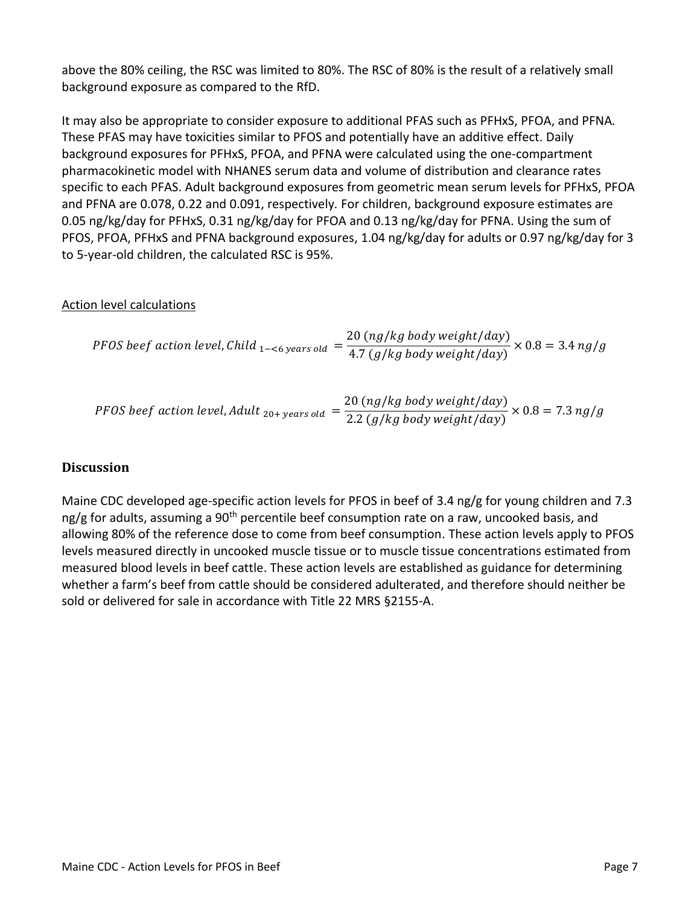above the 80% ceiling, the RSC was limited to 80%. The RSC of 80% is the result of a relatively small background exposure as compared to the RfD.

It may also be appropriate to consider exposure to additional PFAS such as PFHxS, PFOA, and PFNA. These PFAS may have toxicities similar to PFOS and potentially have an additive effect. Daily background exposures for PFHxS, PFOA, and PFNA were calculated using the one-compartment pharmacokinetic model with NHANES serum data and volume of distribution and clearance rates specific to each PFAS. Adult background exposures from geometric mean serum levels for PFHxS, PFOA and PFNA are 0.078, 0.22 and 0.091, respectively. For children, background exposure estimates are 0.05 ng/kg/day for PFHxS, 0.31 ng/kg/day for PFOA and 0.13 ng/kg/day for PFNA. Using the sum of PFOS, PFOA, PFHxS and PFNA background exposures, 1.04 ng/kg/day for adults or 0.97 ng/kg/day for 3 to 5-year-old children, the calculated RSC is 95%.

#### Action level calculations

*PFOS beef action level*, *Child* 
$$
_{1-\leq 6 \text{ years old}} = \frac{20 \ (ng/kg \ body \ weight/day)}{4.7 \ (g/kg \ body \ weight/day)} \times 0.8 = 3.4 \ ng/g
$$

$$
PFOS\, \text{beef action level,} \text{Adult}_{20+\text{years old}} = \frac{20 \, (ng/kg\, body\, weight/day)}{2.2 \, (g/kg\, body\, weight/day)} \times 0.8 = 7.3 \, ng/g
$$

## **Discussion**

Maine CDC developed age-specific action levels for PFOS in beef of 3.4 ng/g for young children and 7.3 ng/g for adults, assuming a 90<sup>th</sup> percentile beef consumption rate on a raw, uncooked basis, and allowing 80% of the reference dose to come from beef consumption. These action levels apply to PFOS levels measured directly in uncooked muscle tissue or to muscle tissue concentrations estimated from measured blood levels in beef cattle. These action levels are established as guidance for determining whether a farm's beef from cattle should be considered adulterated, and therefore should neither be sold or delivered for sale in accordance with Title 22 MRS §2155-A.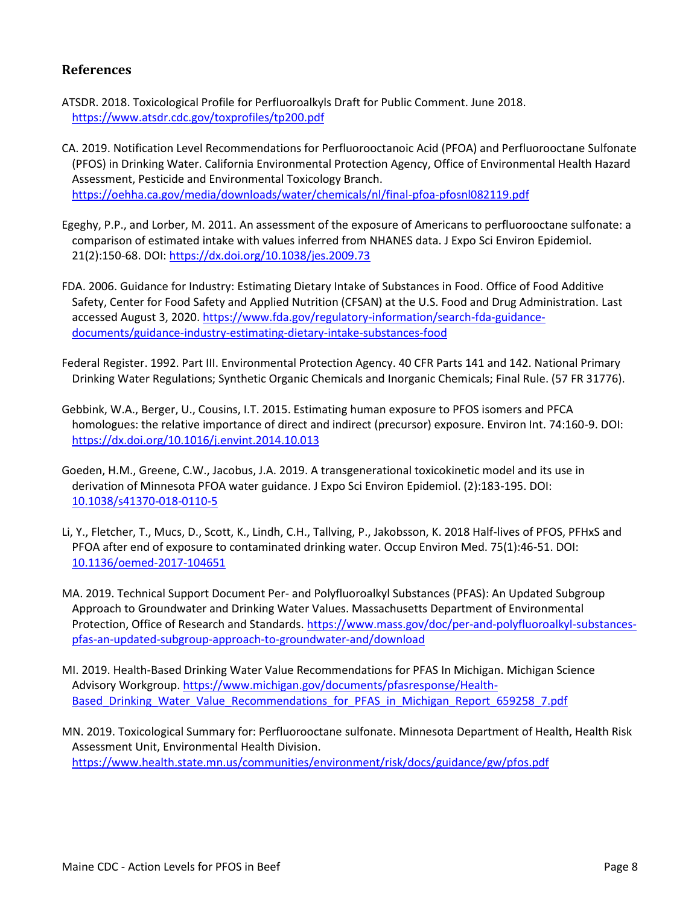## **References**

- ATSDR. 2018. Toxicological Profile for Perfluoroalkyls Draft for Public Comment. June 2018. <https://www.atsdr.cdc.gov/toxprofiles/tp200.pdf>
- CA. 2019. Notification Level Recommendations for Perfluorooctanoic Acid (PFOA) and Perfluorooctane Sulfonate (PFOS) in Drinking Water. California Environmental Protection Agency, Office of Environmental Health Hazard Assessment, Pesticide and Environmental Toxicology Branch. <https://oehha.ca.gov/media/downloads/water/chemicals/nl/final-pfoa-pfosnl082119.pdf>
- Egeghy, P.P., and Lorber, M. 2011. An assessment of the exposure of Americans to perfluorooctane sulfonate: a comparison of estimated intake with values inferred from NHANES data. J Expo Sci Environ Epidemiol. 21(2):150-68. DOI:<https://dx.doi.org/10.1038/jes.2009.73>
- FDA. 2006. Guidance for Industry: Estimating Dietary Intake of Substances in Food. Office of Food Additive Safety, Center for Food Safety and Applied Nutrition (CFSAN) at the U.S. Food and Drug Administration. Last accessed August 3, 2020[. https://www.fda.gov/regulatory-information/search-fda-guidance](https://www.fda.gov/regulatory-information/search-fda-guidance-documents/guidance-industry-estimating-dietary-intake-substances-food)[documents/guidance-industry-estimating-dietary-intake-substances-food](https://www.fda.gov/regulatory-information/search-fda-guidance-documents/guidance-industry-estimating-dietary-intake-substances-food)
- Federal Register. 1992. Part III. Environmental Protection Agency. 40 CFR Parts 141 and 142. National Primary Drinking Water Regulations; Synthetic Organic Chemicals and Inorganic Chemicals; Final Rule. (57 FR 31776).
- Gebbink, W.A., Berger, U., Cousins, I.T. 2015. Estimating human exposure to PFOS isomers and PFCA homologues: the relative importance of direct and indirect (precursor) exposure. Environ Int. 74:160-9. DOI: <https://dx.doi.org/10.1016/j.envint.2014.10.013>
- Goeden, H.M., Greene, C.W., Jacobus, J.A. 2019. A transgenerational toxicokinetic model and its use in derivation of Minnesota PFOA water guidance. J Expo Sci Environ Epidemiol. (2):183-195. DOI: [10.1038/s41370-018-0110-5](https://doi.org/10.1038/s41370-018-0110-5)
- Li, Y., Fletcher, T., Mucs, D., Scott, K., Lindh, C.H., Tallving, P., Jakobsson, K. 2018 Half-lives of PFOS, PFHxS and PFOA after end of exposure to contaminated drinking water. Occup Environ Med. 75(1):46-51. DOI: [10.1136/oemed-2017-104651](https://doi.org/10.1136/oemed-2017-104651)
- MA. 2019. Technical Support Document Per- and Polyfluoroalkyl Substances (PFAS): An Updated Subgroup Approach to Groundwater and Drinking Water Values. Massachusetts Department of Environmental Protection, Office of Research and Standards. [https://www.mass.gov/doc/per-and-polyfluoroalkyl-substances](https://www.mass.gov/doc/per-and-polyfluoroalkyl-substances-pfas-an-updated-subgroup-approach-to-groundwater-and/download)[pfas-an-updated-subgroup-approach-to-groundwater-and/download](https://www.mass.gov/doc/per-and-polyfluoroalkyl-substances-pfas-an-updated-subgroup-approach-to-groundwater-and/download)
- MI. 2019. Health-Based Drinking Water Value Recommendations for PFAS In Michigan. Michigan Science Advisory Workgroup. [https://www.michigan.gov/documents/pfasresponse/Health-](https://www.michigan.gov/documents/pfasresponse/Health-Based_Drinking_Water_Value_Recommendations_for_PFAS_in_Michigan_Report_659258_7.pdf)[Based\\_Drinking\\_Water\\_Value\\_Recommendations\\_for\\_PFAS\\_in\\_Michigan\\_Report\\_659258\\_7.pdf](https://www.michigan.gov/documents/pfasresponse/Health-Based_Drinking_Water_Value_Recommendations_for_PFAS_in_Michigan_Report_659258_7.pdf)
- MN. 2019. Toxicological Summary for: Perfluorooctane sulfonate. Minnesota Department of Health, Health Risk Assessment Unit, Environmental Health Division. <https://www.health.state.mn.us/communities/environment/risk/docs/guidance/gw/pfos.pdf>